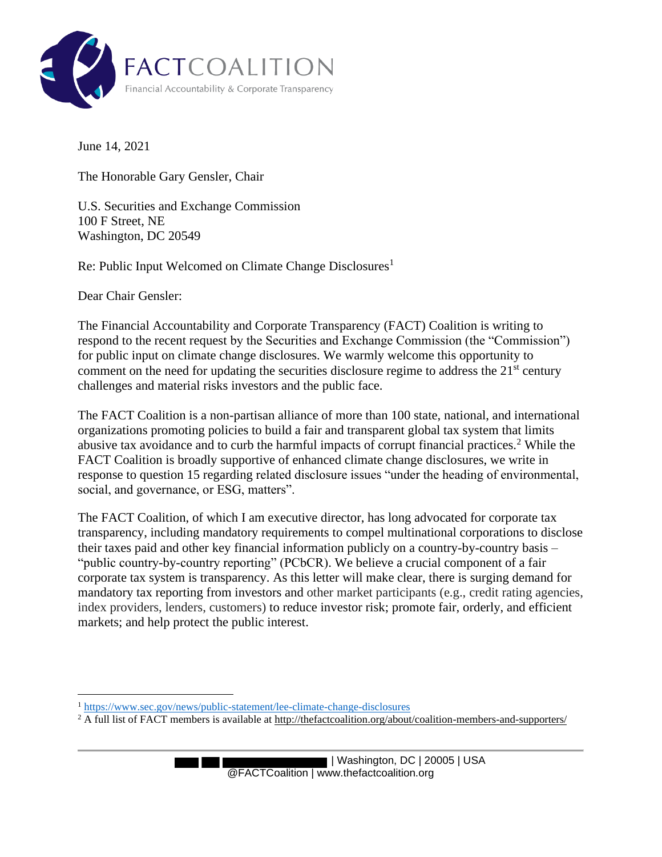

June 14, 2021

The Honorable Gary Gensler, Chair

U.S. Securities and Exchange Commission 100 F Street, NE Washington, DC 20549

Re: Public Input Welcomed on Climate Change Disclosures<sup>1</sup>

Dear Chair Gensler:

The Financial Accountability and Corporate Transparency (FACT) Coalition is writing to respond to the recent request by the Securities and Exchange Commission (the "Commission") for public input on climate change disclosures. We warmly welcome this opportunity to comment on the need for updating the securities disclosure regime to address the  $21<sup>st</sup>$  century challenges and material risks investors and the public face.

The FACT Coalition is a non-partisan alliance of more than 100 state, national, and international organizations promoting policies to build a fair and transparent global tax system that limits abusive tax avoidance and to curb the harmful impacts of corrupt financial practices.<sup>2</sup> While the FACT Coalition is broadly supportive of enhanced climate change disclosures, we write in response to question 15 regarding related disclosure issues "under the heading of environmental, social, and governance, or ESG, matters".

The FACT Coalition, of which I am executive director, has long advocated for corporate tax transparency, including mandatory requirements to compel multinational corporations to disclose their taxes paid and other key financial information publicly on a country-by-country basis – "public country-by-country reporting" (PCbCR). We believe a crucial component of a fair corporate tax system is transparency. As this letter will make clear, there is surging demand for mandatory tax reporting from investors and other market participants (e.g., credit rating agencies, index providers, lenders, customers) to reduce investor risk; promote fair, orderly, and efficient markets; and help protect the public interest.

<sup>1</sup> https://www.sec.gov/news/public-statement/lee-climate-change-disclosures

<sup>&</sup>lt;sup>2</sup> A full list of FACT members is available at http://thefactcoalition.org/about/coalition-members-and-supporters/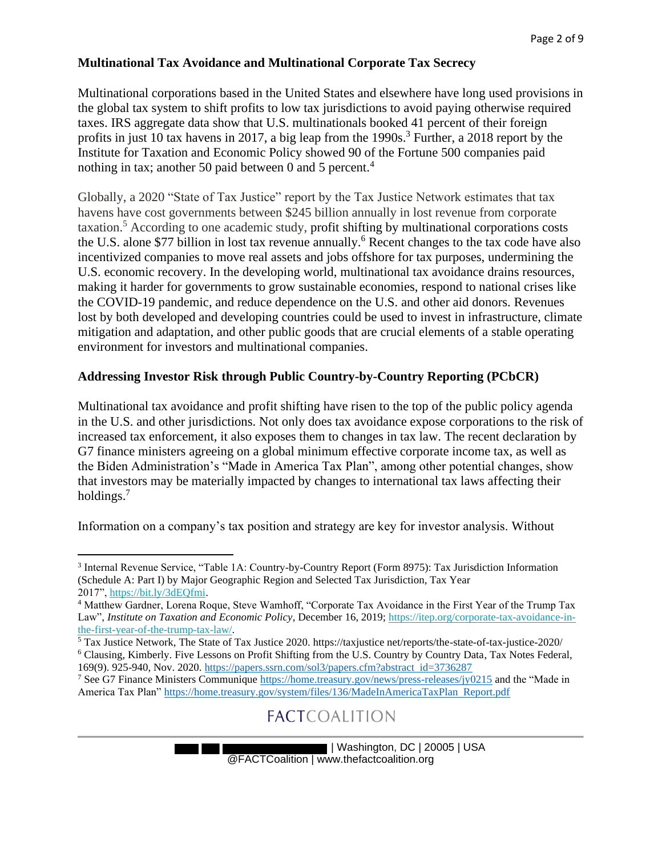#### **Multinational Tax Avoidance and Multinational Corporate Tax Secrecy**

Multinational corporations based in the United States and elsewhere have long used provisions in the global tax system to shift profits to low tax jurisdictions to avoid paying otherwise required taxes. IRS aggregate data show that U.S. multinationals booked 41 percent of their foreign profits in just 10 tax havens in 2017, a big leap from the 1990s.<sup>3</sup> Further, a 2018 report by the Institute for Taxation and Economic Policy showed 90 of the Fortune 500 companies paid nothing in tax; another 50 paid between 0 and 5 percent.<sup>4</sup>

Globally, a 2020 "State of Tax Justice" report by the Tax Justice Network estimates that tax havens have cost governments between \$245 billion annually in lost revenue from corporate  $taxation.<sup>5</sup> According to one academic study, profit shifting by multinational corporations costs$ the U.S. alone \$77 billion in lost tax revenue annually. <sup>6</sup> Recent changes to the tax code have also incentivized companies to move real assets and jobs offshore for tax purposes, undermining the U.S. economic recovery. In the developing world, multinational tax avoidance drains resources, making it harder for governments to grow sustainable economies, respond to national crises like the COVID-19 pandemic, and reduce dependence on the U.S. and other aid donors. Revenues lost by both developed and developing countries could be used to invest in infrastructure, climate mitigation and adaptation, and other public goods that are crucial elements of a stable operating environment for investors and multinational companies.

#### **Addressing Investor Risk through Public Country-by-Country Reporting (PCbCR)**

Multinational tax avoidance and profit shifting have risen to the top of the public policy agenda in the U.S. and other jurisdictions. Not only does tax avoidance expose corporations to the risk of increased tax enforcement, it also exposes them to changes in tax law. The recent declaration by G7 finance ministers agreeing on a global minimum effective corporate income tax, as well as the Biden Administration's "Made in America Tax Plan", among other potential changes, show that investors may be materially impacted by changes to international tax laws affecting their holdings.<sup>7</sup>

Information on a company's tax position and strategy are key for investor analysis. Without

<sup>&</sup>lt;sup>3</sup> Internal Revenue Service, "Table 1A: Country-by-Country Report (Form 8975): Tax Jurisdiction Information (Schedule A: Part I) by Major Geographic Region and Selected Tax Jurisdiction, Tax Year 2017", https://bit.ly/3dEQfmi.

<sup>4</sup> Matthew Gardner, Lorena Roque, Steve Wamhoff, "Corporate Tax Avoidance in the First Year of the Trump Tax Law", *Institute on Taxation and Economic Policy*, December 16, 2019; https://itep.org/corporate-tax-avoidance-inthe-first-year-of-the-trump-tax-law/.

<sup>5</sup> Tax Justice Network, The State of Tax Justice 2020. https://taxjustice net/reports/the-state-of-tax-justice-2020/ <sup>6</sup> Clausing, Kimberly. Five Lessons on Profit Shifting from the U.S. Country by Country Data, Tax Notes Federal, 169(9). 925-940, Nov. 2020. https://papers.ssrn.com/sol3/papers.cfm?abstract id=3736287

<sup>7</sup> See G7 Finance Ministers Communique https://home.treasury.gov/news/press-releases/jy0215 and the "Made in America Tax Plan" https://home.treasury.gov/system/files/136/MadeInAmericaTaxPlan Report.pdf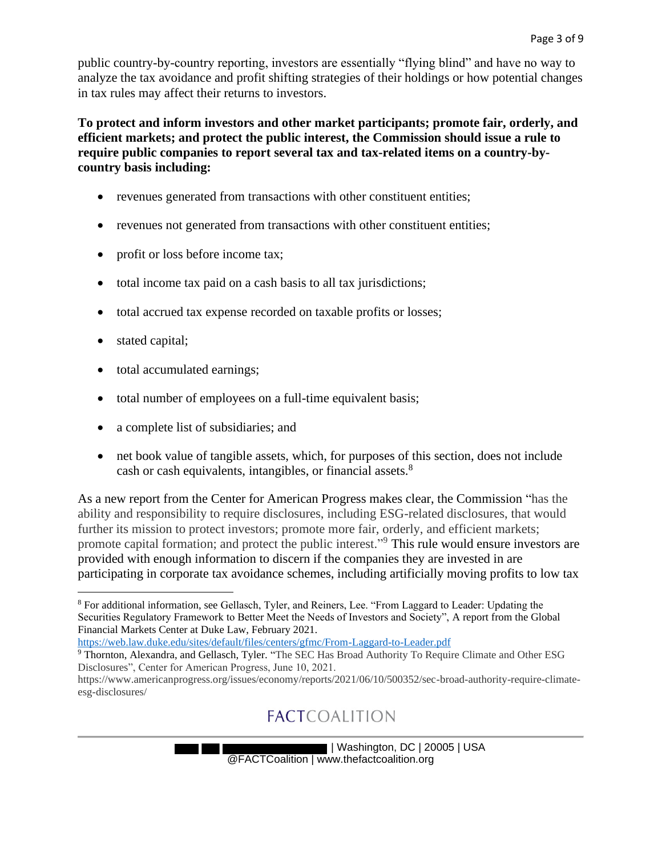public country-by-country reporting, investors are essentially "flying blind" and have no way to analyze the tax avoidance and profit shifting strategies of their holdings or how potential changes in tax rules may affect their returns to investors.

**To protect and inform investors and other market participants; promote fair, orderly, and efficient markets; and protect the public interest, the Commission should issue a rule to require public companies to report several tax and tax-related items on a country-bycountry basis including:** 

- revenues generated from transactions with other constituent entities;
- revenues not generated from transactions with other constituent entities;
- profit or loss before income tax;
- total income tax paid on a cash basis to all tax jurisdictions;
- total accrued tax expense recorded on taxable profits or losses;
- stated capital;
- total accumulated earnings;
- total number of employees on a full-time equivalent basis;
- a complete list of subsidiaries; and
- net book value of tangible assets, which, for purposes of this section, does not include cash or cash equivalents, intangibles, or financial assets.<sup>8</sup>

As a new report from the Center for American Progress makes clear, the Commission "has the ability and responsibility to require disclosures, including ESG-related disclosures, that would further its mission to protect investors; promote more fair, orderly, and efficient markets; promote capital formation; and protect the public interest."<sup>9</sup> This rule would ensure investors are provided with enough information to discern if the companies they are invested in are participating in corporate tax avoidance schemes, including artificially moving profits to low tax

https://web.law.duke.edu/sites/default/files/centers/gfmc/From-Laggard-to-Leader.pdf

<sup>8</sup> For additional information, see Gellasch, Tyler, and Reiners, Lee. "From Laggard to Leader: Updating the Securities Regulatory Framework to Better Meet the Needs of Investors and Society", A report from the Global Financial Markets Center at Duke Law, February 2021.

<sup>9</sup> Thornton, Alexandra, and Gellasch, Tyler. "The SEC Has Broad Authority To Require Climate and Other ESG Disclosures", Center for American Progress, June 10, 2021.

https://www.americanprogress.org/issues/economy/reports/2021/06/10/500352/sec-broad-authority-require-climateesg-disclosures/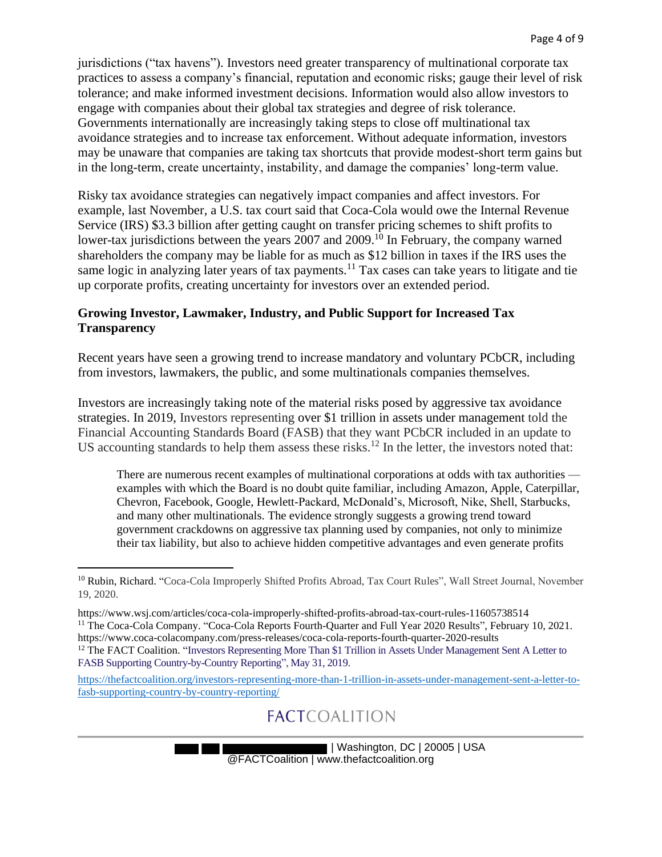jurisdictions ("tax havens"). Investors need greater transparency of multinational corporate tax practices to assess a company's financial, reputation and economic risks; gauge their level of risk tolerance; and make informed investment decisions. Information would also allow investors to engage with companies about their global tax strategies and degree of risk tolerance. Governments internationally are increasingly taking steps to close off multinational tax avoidance strategies and to increase tax enforcement. Without adequate information, investors may be unaware that companies are taking tax shortcuts that provide modest-short term gains but in the long-term, create uncertainty, instability, and damage the companies' long-term value.

Risky tax avoidance strategies can negatively impact companies and affect investors. For example, last November, a U.S. tax court said that Coca-Cola would owe the Internal Revenue Service (IRS) \$3.3 billion after getting caught on transfer pricing schemes to shift profits to lower-tax jurisdictions between the years 2007 and 2009.<sup>10</sup> In February, the company warned shareholders the company may be liable for as much as \$12 billion in taxes if the IRS uses the same logic in analyzing later years of tax payments.<sup>11</sup> Tax cases can take years to litigate and tie up corporate profits, creating uncertainty for investors over an extended period.

#### **Growing Investor, Lawmaker, Industry, and Public Support for Increased Tax Transparency**

Recent years have seen a growing trend to increase mandatory and voluntary PCbCR, including from investors, lawmakers, the public, and some multinationals companies themselves.

Investors are increasingly taking note of the material risks posed by aggressive tax avoidance strategies. In 2019, Investors representing over \$1 trillion in assets under management told the Financial Accounting Standards Board (FASB) that they want PCbCR included in an update to US accounting standards to help them assess these risks.<sup>12</sup> In the letter, the investors noted that:

There are numerous recent examples of multinational corporations at odds with tax authorities examples with which the Board is no doubt quite familiar, including Amazon, Apple, Caterpillar, Chevron, Facebook, Google, Hewlett-Packard, McDonald's, Microsoft, Nike, Shell, Starbucks, and many other multinationals. The evidence strongly suggests a growing trend toward government crackdowns on aggressive tax planning used by companies, not only to minimize their tax liability, but also to achieve hidden competitive advantages and even generate profits

<sup>&</sup>lt;sup>10</sup> Rubin, Richard. "Coca-Cola Improperly Shifted Profits Abroad, Tax Court Rules", Wall Street Journal, November 19, 2020.

https://www.wsj.com/articles/coca-cola-improperly-shifted-profits-abroad-tax-court-rules-11605738514 <sup>11</sup> The Coca-Cola Company. "Coca-Cola Reports Fourth-Quarter and Full Year 2020 Results", February 10, 2021.

https://www.coca-colacompany.com/press-releases/coca-cola-reports-fourth-quarter-2020-results <sup>12</sup> The FACT Coalition. "Investors Representing More Than \$1 Trillion in Assets Under Management Sent A Letter to FASB Supporting Country-by-Country Reporting", May 31, 2019.

https://thefactcoalition.org/investors-representing-more-than-1-trillion-in-assets-under-management-sent-a-letter-tofasb-supporting-country-by-country-reporting/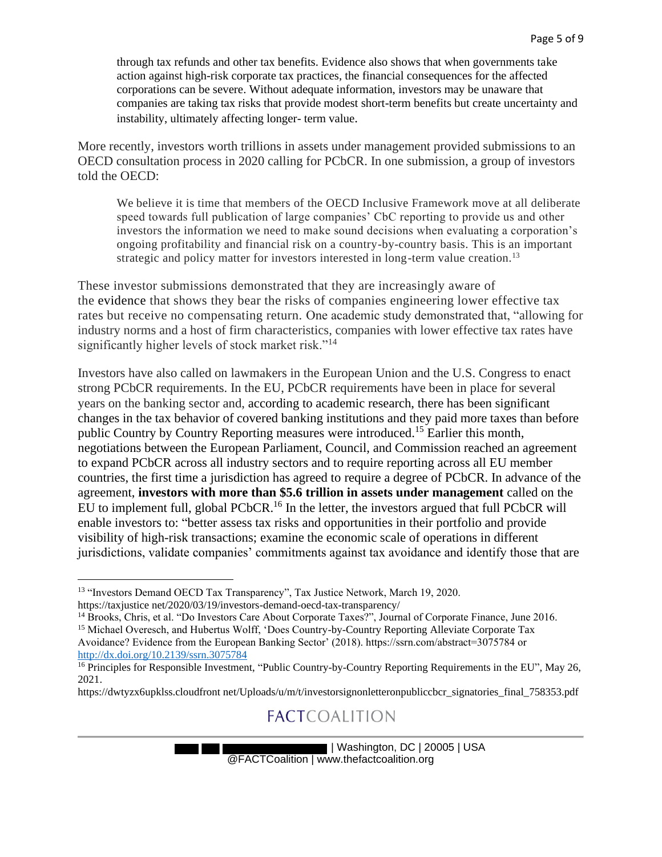through tax refunds and other tax benefits. Evidence also shows that when governments take action against high-risk corporate tax practices, the financial consequences for the affected corporations can be severe. Without adequate information, investors may be unaware that companies are taking tax risks that provide modest short-term benefits but create uncertainty and instability, ultimately affecting longer- term value.

More recently, investors worth trillions in assets under management provided submissions to an OECD consultation process in 2020 calling for PCbCR. In one submission, a group of investors told the OECD:

We believe it is time that members of the OECD Inclusive Framework move at all deliberate speed towards full publication of large companies' CbC reporting to provide us and other investors the information we need to make sound decisions when evaluating a corporation's ongoing profitability and financial risk on a country-by-country basis. This is an important strategic and policy matter for investors interested in long-term value creation.<sup>13</sup>

These investor submissions demonstrated that they are increasingly aware of the evidence that shows they bear the risks of companies engineering lower effective tax rates but receive no compensating return. One academic study demonstrated that, "allowing for industry norms and a host of firm characteristics, companies with lower effective tax rates have significantly higher levels of stock market risk."<sup>14</sup>

Investors have also called on lawmakers in the European Union and the U.S. Congress to enact strong PCbCR requirements. In the EU, PCbCR requirements have been in place for several years on the banking sector and, according to academic research, there has been significant changes in the tax behavior of covered banking institutions and they paid more taxes than before public Country by Country Reporting measures were introduced.<sup>15</sup> Earlier this month, negotiations between the European Parliament, Council, and Commission reached an agreement to expand PCbCR across all industry sectors and to require reporting across all EU member countries, the first time a jurisdiction has agreed to require a degree of PCbCR. In advance of the agreement, **investors with more than \$5.6 trillion in assets under management** called on the EU to implement full, global PCbCR.<sup>16</sup> In the letter, the investors argued that full PCbCR will enable investors to: "better assess tax risks and opportunities in their portfolio and provide visibility of high-risk transactions; examine the economic scale of operations in different jurisdictions, validate companies' commitments against tax avoidance and identify those that are

<sup>13</sup> "Investors Demand OECD Tax Transparency", Tax Justice Network, March 19, 2020.

https://taxjustice net/2020/03/19/investors-demand-oecd-tax-transparency/

<sup>14</sup> Brooks, Chris, et al. "Do Investors Care About Corporate Taxes?", Journal of Corporate Finance, June 2016.

<sup>&</sup>lt;sup>15</sup> Michael Overesch, and Hubertus Wolff, 'Does Country-by-Country Reporting Alleviate Corporate Tax Avoidance? Evidence from the European Banking Sector' (2018). https://ssrn.com/abstract=3075784 or http://dx.doi.org/10.2139/ssrn.3075784

<sup>&</sup>lt;sup>16</sup> Principles for Responsible Investment, "Public Country-by-Country Reporting Requirements in the EU", May 26, 2021.

https://dwtyzx6upklss.cloudfront net/Uploads/u/m/t/investorsignonletteronpubliccbcr\_signatories\_final\_758353.pdf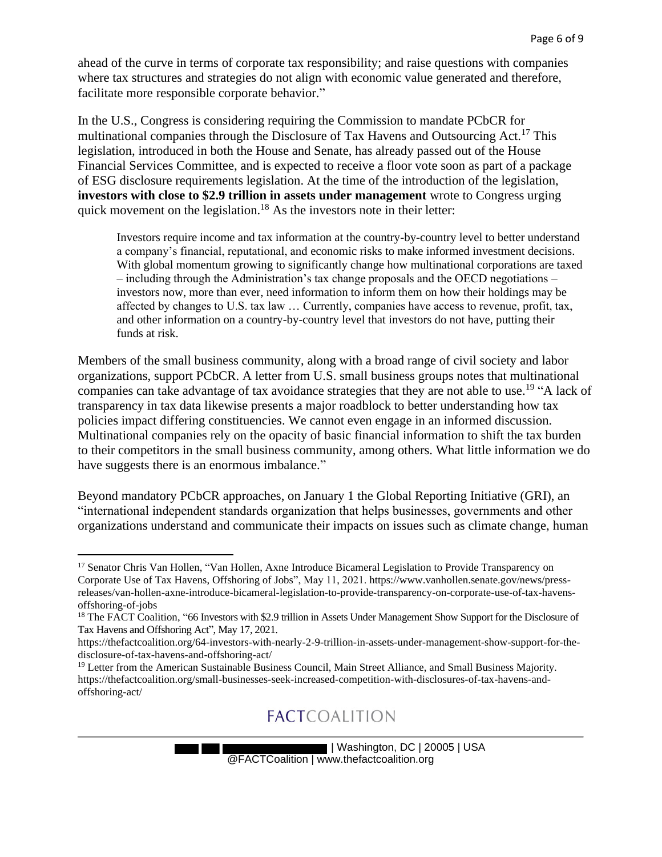ahead of the curve in terms of corporate tax responsibility; and raise questions with companies where tax structures and strategies do not align with economic value generated and therefore, facilitate more responsible corporate behavior."

In the U.S., Congress is considering requiring the Commission to mandate PCbCR for multinational companies through the Disclosure of Tax Havens and Outsourcing Act.<sup>17</sup> This legislation, introduced in both the House and Senate, has already passed out of the House Financial Services Committee, and is expected to receive a floor vote soon as part of a package of ESG disclosure requirements legislation. At the time of the introduction of the legislation, **investors with close to \$2.9 trillion in assets under management** wrote to Congress urging quick movement on the legislation.<sup>18</sup> As the investors note in their letter:

Investors require income and tax information at the country-by-country level to better understand a company's financial, reputational, and economic risks to make informed investment decisions. With global momentum growing to significantly change how multinational corporations are taxed – including through the Administration's tax change proposals and the OECD negotiations – investors now, more than ever, need information to inform them on how their holdings may be affected by changes to U.S. tax law … Currently, companies have access to revenue, profit, tax, and other information on a country-by-country level that investors do not have, putting their funds at risk.

Members of the small business community, along with a broad range of civil society and labor organizations, support PCbCR. A letter from U.S. small business groups notes that multinational companies can take advantage of tax avoidance strategies that they are not able to use.<sup>19</sup> "A lack of transparency in tax data likewise presents a major roadblock to better understanding how tax policies impact differing constituencies. We cannot even engage in an informed discussion. Multinational companies rely on the opacity of basic financial information to shift the tax burden to their competitors in the small business community, among others. What little information we do have suggests there is an enormous imbalance."

Beyond mandatory PCbCR approaches, on January 1 the Global Reporting Initiative (GRI), an "international independent standards organization that helps businesses, governments and other organizations understand and communicate their impacts on issues such as climate change, human

<sup>&</sup>lt;sup>17</sup> Senator Chris Van Hollen, "Van Hollen, Axne Introduce Bicameral Legislation to Provide Transparency on Corporate Use of Tax Havens, Offshoring of Jobs", May 11, 2021. https://www.vanhollen.senate.gov/news/pressreleases/van-hollen-axne-introduce-bicameral-legislation-to-provide-transparency-on-corporate-use-of-tax-havensoffshoring-of-jobs

<sup>&</sup>lt;sup>18</sup> The FACT Coalition, "66 Investors with \$2.9 trillion in Assets Under Management Show Support for the Disclosure of Tax Havens and Offshoring Act", May 17, 2021.

https://thefactcoalition.org/64-investors-with-nearly-2-9-trillion-in-assets-under-management-show-support-for-thedisclosure-of-tax-havens-and-offshoring-act/

<sup>&</sup>lt;sup>19</sup> Letter from the American Sustainable Business Council, Main Street Alliance, and Small Business Majority. https://thefactcoalition.org/small-businesses-seek-increased-competition-with-disclosures-of-tax-havens-andoffshoring-act/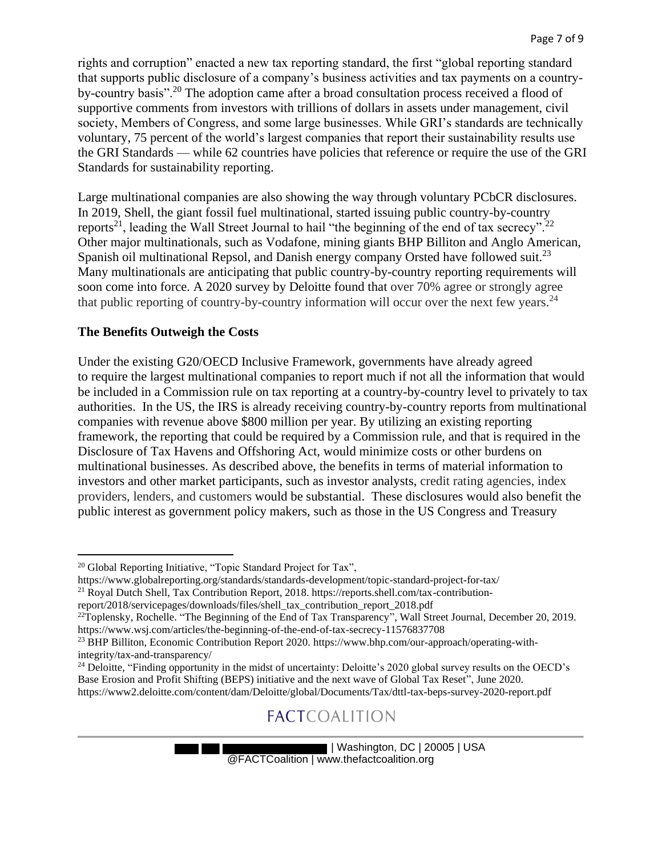rights and corruption" enacted a new tax reporting standard, the first "global reporting standard that supports public disclosure of a company's business activities and tax payments on a countryby-country basis".<sup>20</sup> The adoption came after a broad consultation process received a flood of supportive comments from investors with trillions of dollars in assets under management, civil society, Members of Congress, and some large businesses. While GRI's standards are technically voluntary, 75 percent of the world's largest companies that report their sustainability results use the GRI Standards — while 62 countries have policies that reference or require the use of the GRI Standards for sustainability reporting.

Large multinational companies are also showing the way through voluntary PCbCR disclosures. In 2019, Shell, the giant fossil fuel multinational, started issuing public country-by-country reports<sup>21</sup>, leading the Wall Street Journal to hail "the beginning of the end of tax secrecy".<sup>22</sup> Other major multinationals, such as Vodafone, mining giants BHP Billiton and Anglo American, Spanish oil multinational Repsol, and Danish energy company Orsted have followed suit.<sup>23</sup> Many multinationals are anticipating that public country-by-country reporting requirements will soon come into force. A 2020 survey by Deloitte found that over 70% agree or strongly agree that public reporting of country-by-country information will occur over the next few years.<sup>24</sup>

#### **The Benefits Outweigh the Costs**

Under the existing G20/OECD Inclusive Framework, governments have already agreed to require the largest multinational companies to report much if not all the information that would be included in a Commission rule on tax reporting at a country-by-country level to privately to tax authorities. In the US, the IRS is already receiving country-by-country reports from multinational companies with revenue above \$800 million per year. By utilizing an existing reporting framework, the reporting that could be required by a Commission rule, and that is required in the Disclosure of Tax Havens and Offshoring Act, would minimize costs or other burdens on multinational businesses. As described above, the benefits in terms of material information to investors and other market participants, such as investor analysts, credit rating agencies, index providers, lenders, and customers would be substantial. These disclosures would also benefit the public interest as government policy makers, such as those in the US Congress and Treasury

https://www.globalreporting.org/standards/standards-development/topic-standard-project-for-tax/

<sup>&</sup>lt;sup>20</sup> Global Reporting Initiative, "Topic Standard Project for Tax",

<sup>21</sup> Royal Dutch Shell, Tax Contribution Report, 2018. https://reports.shell.com/tax-contribution-

report/2018/servicepages/downloads/files/shell\_tax\_contribution\_report\_2018.pdf

<sup>&</sup>lt;sup>22</sup>Toplensky, Rochelle. "The Beginning of the End of Tax Transparency", Wall Street Journal, December 20, 2019. https://www.wsj.com/articles/the-beginning-of-the-end-of-tax-secrecy-11576837708

<sup>&</sup>lt;sup>23</sup> BHP Billiton, Economic Contribution Report 2020. https://www.bhp.com/our-approach/operating-withintegrity/tax-and-transparency/

<sup>&</sup>lt;sup>24</sup> Deloitte, "Finding opportunity in the midst of uncertainty: Deloitte's 2020 global survey results on the OECD's Base Erosion and Profit Shifting (BEPS) initiative and the next wave of Global Tax Reset", June 2020. https://www2.deloitte.com/content/dam/Deloitte/global/Documents/Tax/dttl-tax-beps-survey-2020-report.pdf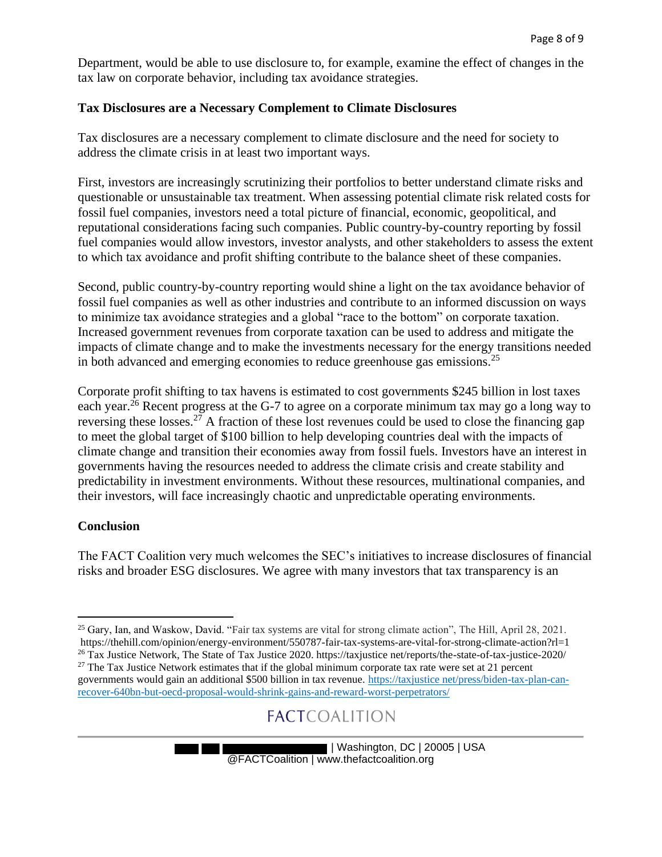Department, would be able to use disclosure to, for example, examine the effect of changes in the tax law on corporate behavior, including tax avoidance strategies.

#### **Tax Disclosures are a Necessary Complement to Climate Disclosures**

Tax disclosures are a necessary complement to climate disclosure and the need for society to address the climate crisis in at least two important ways.

First, investors are increasingly scrutinizing their portfolios to better understand climate risks and questionable or unsustainable tax treatment. When assessing potential climate risk related costs for fossil fuel companies, investors need a total picture of financial, economic, geopolitical, and reputational considerations facing such companies. Public country-by-country reporting by fossil fuel companies would allow investors, investor analysts, and other stakeholders to assess the extent to which tax avoidance and profit shifting contribute to the balance sheet of these companies.

Second, public country-by-country reporting would shine a light on the tax avoidance behavior of fossil fuel companies as well as other industries and contribute to an informed discussion on ways to minimize tax avoidance strategies and a global "race to the bottom" on corporate taxation. Increased government revenues from corporate taxation can be used to address and mitigate the impacts of climate change and to make the investments necessary for the energy transitions needed in both advanced and emerging economies to reduce greenhouse gas emissions.<sup>25</sup>

Corporate profit shifting to tax havens is estimated to cost governments \$245 billion in lost taxes each year.<sup>26</sup> Recent progress at the G-7 to agree on a corporate minimum tax may go a long way to reversing these losses.<sup>27</sup> A fraction of these lost revenues could be used to close the financing gap to meet the global target of \$100 billion to help developing countries deal with the impacts of climate change and transition their economies away from fossil fuels. Investors have an interest in governments having the resources needed to address the climate crisis and create stability and predictability in investment environments. Without these resources, multinational companies, and their investors, will face increasingly chaotic and unpredictable operating environments.

#### **Conclusion**

The FACT Coalition very much welcomes the SEC's initiatives to increase disclosures of financial risks and broader ESG disclosures. We agree with many investors that tax transparency is an

<sup>&</sup>lt;sup>25</sup> Gary, Ian, and Waskow, David. "Fair tax systems are vital for strong climate action", The Hill, April 28, 2021. https://thehill.com/opinion/energy-environment/550787-fair-tax-systems-are-vital-for-strong-climate-action?rl=1 <sup>26</sup> Tax Justice Network, The State of Tax Justice 2020. https://taxjustice net/reports/the-state-of-tax-justice-2020/

 $27$  The Tax Justice Network estimates that if the global minimum corporate tax rate were set at 21 percent

governments would gain an additional \$500 billion in tax revenue. https://taxjustice net/press/biden-tax-plan-canrecover-640bn-but-oecd-proposal-would-shrink-gains-and-reward-worst-perpetrators/